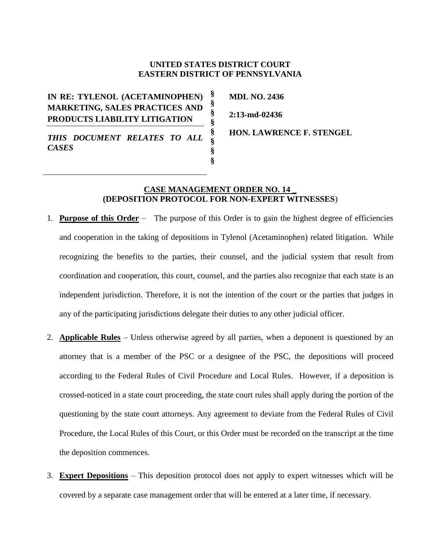# **UNITED STATES DISTRICT COURT EASTERN DISTRICT OF PENNSYLVANIA**

**§ § § § § § § §**

**IN RE: TYLENOL (ACETAMINOPHEN) MARKETING, SALES PRACTICES AND PRODUCTS LIABILITY LITIGATION**

**MDL NO. 2436 2:13-md-02436**

*THIS DOCUMENT RELATES TO ALL CASES*

**HON. LAWRENCE F. STENGEL** 

## **CASE MANAGEMENT ORDER NO. 14 \_ (DEPOSITION PROTOCOL FOR NON-EXPERT WITNESSES**)

- 1. **Purpose of this Order** The purpose of this Order is to gain the highest degree of efficiencies and cooperation in the taking of depositions in Tylenol (Acetaminophen) related litigation. While recognizing the benefits to the parties, their counsel, and the judicial system that result from coordination and cooperation, this court, counsel, and the parties also recognize that each state is an independent jurisdiction. Therefore, it is not the intention of the court or the parties that judges in any of the participating jurisdictions delegate their duties to any other judicial officer.
- 2. **Applicable Rules** Unless otherwise agreed by all parties, when a deponent is questioned by an attorney that is a member of the PSC or a designee of the PSC, the depositions will proceed according to the Federal Rules of Civil Procedure and Local Rules. However, if a deposition is crossed-noticed in a state court proceeding, the state court rules shall apply during the portion of the questioning by the state court attorneys. Any agreement to deviate from the Federal Rules of Civil Procedure, the Local Rules of this Court, or this Order must be recorded on the transcript at the time the deposition commences.
- 3. **Expert Depositions** This deposition protocol does not apply to expert witnesses which will be covered by a separate case management order that will be entered at a later time, if necessary.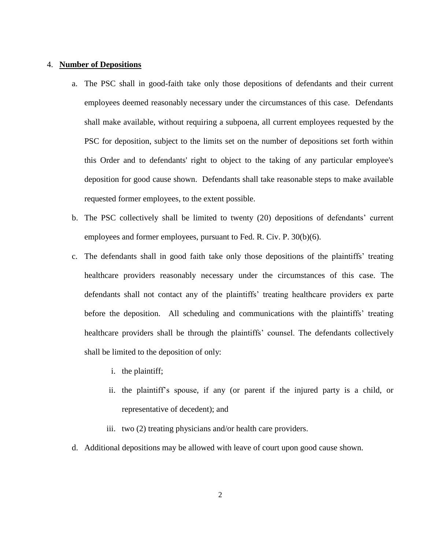## 4. **Number of Depositions**

- a. The PSC shall in good-faith take only those depositions of defendants and their current employees deemed reasonably necessary under the circumstances of this case. Defendants shall make available, without requiring a subpoena, all current employees requested by the PSC for deposition, subject to the limits set on the number of depositions set forth within this Order and to defendants' right to object to the taking of any particular employee's deposition for good cause shown. Defendants shall take reasonable steps to make available requested former employees, to the extent possible.
- b. The PSC collectively shall be limited to twenty (20) depositions of defendants' current employees and former employees, pursuant to Fed. R. Civ. P. 30(b)(6).
- c. The defendants shall in good faith take only those depositions of the plaintiffs' treating healthcare providers reasonably necessary under the circumstances of this case. The defendants shall not contact any of the plaintiffs' treating healthcare providers ex parte before the deposition. All scheduling and communications with the plaintiffs' treating healthcare providers shall be through the plaintiffs' counsel. The defendants collectively shall be limited to the deposition of only:
	- i. the plaintiff;
	- ii. the plaintiff's spouse, if any (or parent if the injured party is a child, or representative of decedent); and
	- iii. two (2) treating physicians and/or health care providers.
- d. Additional depositions may be allowed with leave of court upon good cause shown.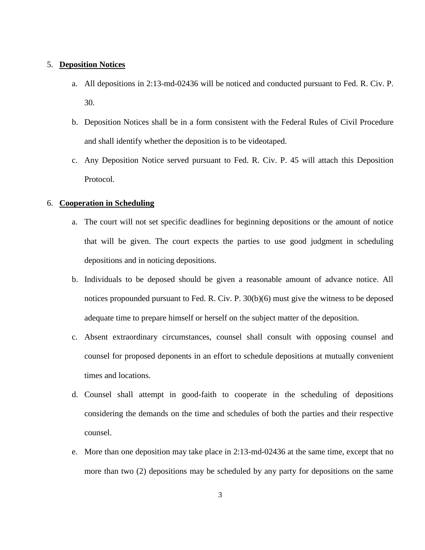## 5. **Deposition Notices**

- a. All depositions in 2:13-md-02436 will be noticed and conducted pursuant to Fed. R. Civ. P. 30.
- b. Deposition Notices shall be in a form consistent with the Federal Rules of Civil Procedure and shall identify whether the deposition is to be videotaped.
- c. Any Deposition Notice served pursuant to Fed. R. Civ. P. 45 will attach this Deposition Protocol.

## 6. **Cooperation in Scheduling**

- a. The court will not set specific deadlines for beginning depositions or the amount of notice that will be given. The court expects the parties to use good judgment in scheduling depositions and in noticing depositions.
- b. Individuals to be deposed should be given a reasonable amount of advance notice. All notices propounded pursuant to Fed. R. Civ. P. 30(b)(6) must give the witness to be deposed adequate time to prepare himself or herself on the subject matter of the deposition.
- c. Absent extraordinary circumstances, counsel shall consult with opposing counsel and counsel for proposed deponents in an effort to schedule depositions at mutually convenient times and locations.
- d. Counsel shall attempt in good-faith to cooperate in the scheduling of depositions considering the demands on the time and schedules of both the parties and their respective counsel.
- e. More than one deposition may take place in 2:13-md-02436 at the same time, except that no more than two (2) depositions may be scheduled by any party for depositions on the same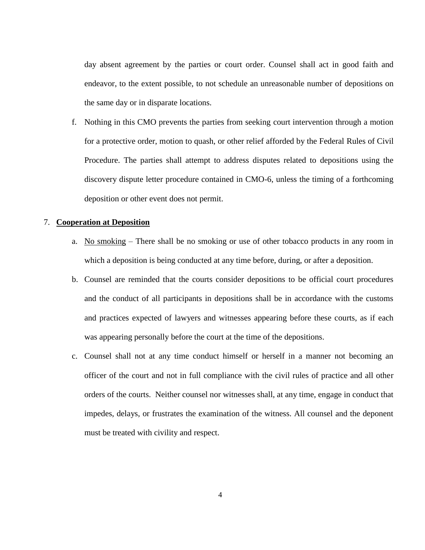day absent agreement by the parties or court order. Counsel shall act in good faith and endeavor, to the extent possible, to not schedule an unreasonable number of depositions on the same day or in disparate locations.

f. Nothing in this CMO prevents the parties from seeking court intervention through a motion for a protective order, motion to quash, or other relief afforded by the Federal Rules of Civil Procedure. The parties shall attempt to address disputes related to depositions using the discovery dispute letter procedure contained in CMO-6, unless the timing of a forthcoming deposition or other event does not permit.

## 7. **Cooperation at Deposition**

- a. No smoking There shall be no smoking or use of other tobacco products in any room in which a deposition is being conducted at any time before, during, or after a deposition.
- b. Counsel are reminded that the courts consider depositions to be official court procedures and the conduct of all participants in depositions shall be in accordance with the customs and practices expected of lawyers and witnesses appearing before these courts, as if each was appearing personally before the court at the time of the depositions.
- c. Counsel shall not at any time conduct himself or herself in a manner not becoming an officer of the court and not in full compliance with the civil rules of practice and all other orders of the courts. Neither counsel nor witnesses shall, at any time, engage in conduct that impedes, delays, or frustrates the examination of the witness. All counsel and the deponent must be treated with civility and respect.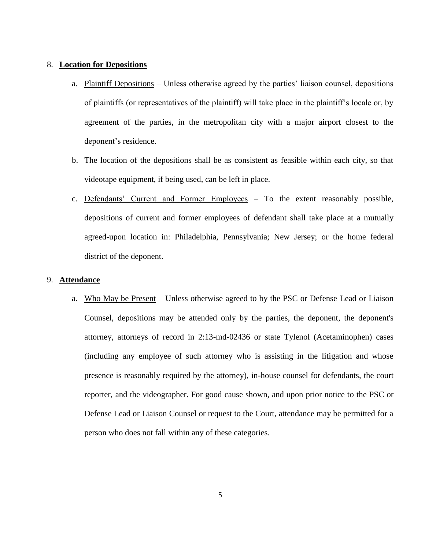# 8. **Location for Depositions**

- a. Plaintiff Depositions Unless otherwise agreed by the parties' liaison counsel, depositions of plaintiffs (or representatives of the plaintiff) will take place in the plaintiff's locale or, by agreement of the parties, in the metropolitan city with a major airport closest to the deponent's residence.
- b. The location of the depositions shall be as consistent as feasible within each city, so that videotape equipment, if being used, can be left in place.
- c. Defendants' Current and Former Employees To the extent reasonably possible, depositions of current and former employees of defendant shall take place at a mutually agreed-upon location in: Philadelphia, Pennsylvania; New Jersey; or the home federal district of the deponent.

## 9. **Attendance**

a. Who May be Present – Unless otherwise agreed to by the PSC or Defense Lead or Liaison Counsel, depositions may be attended only by the parties, the deponent, the deponent's attorney, attorneys of record in 2:13-md-02436 or state Tylenol (Acetaminophen) cases (including any employee of such attorney who is assisting in the litigation and whose presence is reasonably required by the attorney), in-house counsel for defendants, the court reporter, and the videographer. For good cause shown, and upon prior notice to the PSC or Defense Lead or Liaison Counsel or request to the Court, attendance may be permitted for a person who does not fall within any of these categories.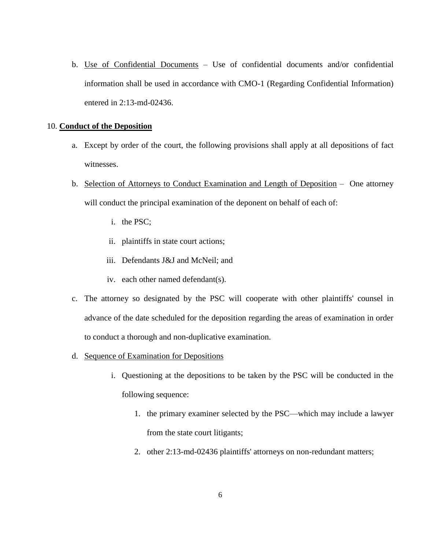b. Use of Confidential Documents – Use of confidential documents and/or confidential information shall be used in accordance with CMO-1 (Regarding Confidential Information) entered in 2:13-md-02436.

## 10. **Conduct of the Deposition**

- a. Except by order of the court, the following provisions shall apply at all depositions of fact witnesses.
- b. Selection of Attorneys to Conduct Examination and Length of Deposition One attorney will conduct the principal examination of the deponent on behalf of each of:
	- i. the PSC;
	- ii. plaintiffs in state court actions;
	- iii. Defendants J&J and McNeil; and
	- iv. each other named defendant(s).
- c. The attorney so designated by the PSC will cooperate with other plaintiffs' counsel in advance of the date scheduled for the deposition regarding the areas of examination in order to conduct a thorough and non-duplicative examination.
- d. Sequence of Examination for Depositions
	- i. Questioning at the depositions to be taken by the PSC will be conducted in the following sequence:
		- 1. the primary examiner selected by the PSC—which may include a lawyer from the state court litigants;
		- 2. other 2:13-md-02436 plaintiffs' attorneys on non-redundant matters;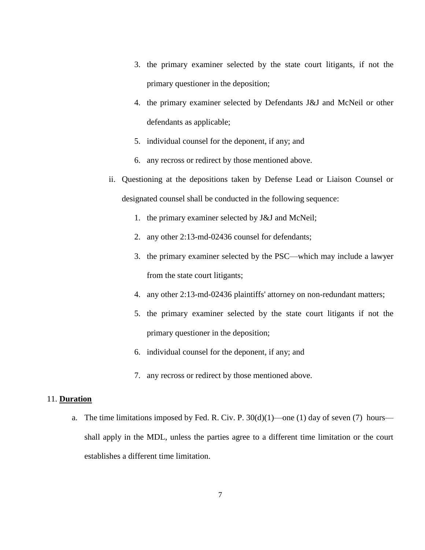- 3. the primary examiner selected by the state court litigants, if not the primary questioner in the deposition;
- 4. the primary examiner selected by Defendants J&J and McNeil or other defendants as applicable;
- 5. individual counsel for the deponent, if any; and
- 6. any recross or redirect by those mentioned above.
- ii. Questioning at the depositions taken by Defense Lead or Liaison Counsel or designated counsel shall be conducted in the following sequence:
	- 1. the primary examiner selected by J&J and McNeil;
	- 2. any other 2:13-md-02436 counsel for defendants;
	- 3. the primary examiner selected by the PSC—which may include a lawyer from the state court litigants;
	- 4. any other 2:13-md-02436 plaintiffs' attorney on non-redundant matters;
	- 5. the primary examiner selected by the state court litigants if not the primary questioner in the deposition;
	- 6. individual counsel for the deponent, if any; and
	- 7. any recross or redirect by those mentioned above.

## 11. **Duration**

a. The time limitations imposed by Fed. R. Civ. P.  $30(d)(1)$ —one (1) day of seven (7) hours shall apply in the MDL, unless the parties agree to a different time limitation or the court establishes a different time limitation.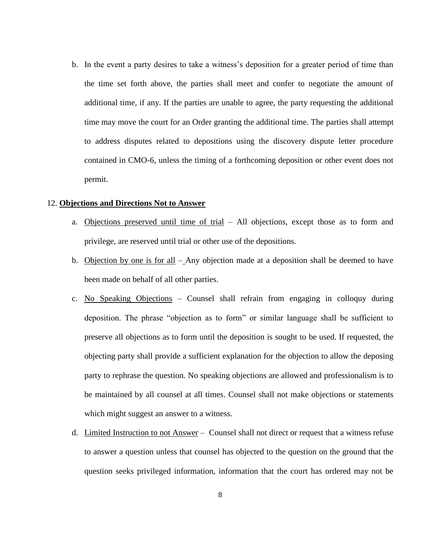b. In the event a party desires to take a witness's deposition for a greater period of time than the time set forth above, the parties shall meet and confer to negotiate the amount of additional time, if any. If the parties are unable to agree, the party requesting the additional time may move the court for an Order granting the additional time. The parties shall attempt to address disputes related to depositions using the discovery dispute letter procedure contained in CMO-6, unless the timing of a forthcoming deposition or other event does not permit.

#### 12. **Objections and Directions Not to Answer**

- a. Objections preserved until time of trial All objections, except those as to form and privilege, are reserved until trial or other use of the depositions.
- b. Objection by one is for all Any objection made at a deposition shall be deemed to have been made on behalf of all other parties.
- c. No Speaking Objections Counsel shall refrain from engaging in colloquy during deposition. The phrase "objection as to form" or similar language shall be sufficient to preserve all objections as to form until the deposition is sought to be used. If requested, the objecting party shall provide a sufficient explanation for the objection to allow the deposing party to rephrase the question. No speaking objections are allowed and professionalism is to be maintained by all counsel at all times. Counsel shall not make objections or statements which might suggest an answer to a witness.
- d. Limited Instruction to not Answer Counsel shall not direct or request that a witness refuse to answer a question unless that counsel has objected to the question on the ground that the question seeks privileged information, information that the court has ordered may not be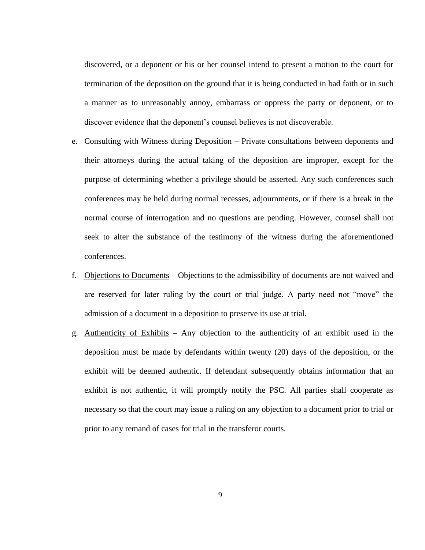discovered, or a deponent or his or her counsel intend to present a motion to the court for termination of the deposition on the ground that it is being conducted in bad faith or in such a manner as to unreasonably annoy, embarrass or oppress the party or deponent, or to discover evidence that the deponent's counsel believes is not discoverable.

- e. Consulting with Witness during Deposition Private consultations between deponents and their attorneys during the actual taking of the deposition are improper, except for the purpose of determining whether a privilege should be asserted. Any such conferences such conferences may be held during normal recesses, adjournments, or if there is a break in the normal course of interrogation and no questions are pending. However, counsel shall not seek to alter the substance of the testimony of the witness during the aforementioned conferences.
- f. Objections to Documents Objections to the admissibility of documents are not waived and are reserved for later ruling by the court or trial judge. A party need not "move" the admission of a document in a deposition to preserve its use at trial.
- g. Authenticity of Exhibits Any objection to the authenticity of an exhibit used in the deposition must be made by defendants within twenty (20) days of the deposition, or the exhibit will be deemed authentic. If defendant subsequently obtains information that an exhibit is not authentic, it will promptly notify the PSC. All parties shall cooperate as necessary so that the court may issue a ruling on any objection to a document prior to trial or prior to any remand of cases for trial in the transferor courts.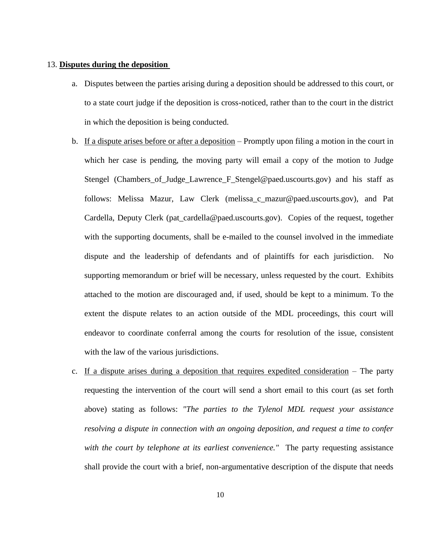#### 13. **Disputes during the deposition**

- a. Disputes between the parties arising during a deposition should be addressed to this court, or to a state court judge if the deposition is cross-noticed, rather than to the court in the district in which the deposition is being conducted.
- b. If a dispute arises before or after a deposition Promptly upon filing a motion in the court in which her case is pending, the moving party will email a copy of the motion to Judge Stengel (Chambers\_of\_Judge\_Lawrence\_F\_Stengel@paed.uscourts.gov) and his staff as follows: Melissa Mazur, Law Clerk (melissa\_c\_mazur@paed.uscourts.gov), and Pat Cardella, Deputy Clerk (pat\_cardella@paed.uscourts.gov). Copies of the request, together with the supporting documents, shall be e-mailed to the counsel involved in the immediate dispute and the leadership of defendants and of plaintiffs for each jurisdiction. No supporting memorandum or brief will be necessary, unless requested by the court. Exhibits attached to the motion are discouraged and, if used, should be kept to a minimum. To the extent the dispute relates to an action outside of the MDL proceedings, this court will endeavor to coordinate conferral among the courts for resolution of the issue, consistent with the law of the various jurisdictions.
- c. If a dispute arises during a deposition that requires expedited consideration The party requesting the intervention of the court will send a short email to this court (as set forth above) stating as follows: *"The parties to the Tylenol MDL request your assistance resolving a dispute in connection with an ongoing deposition, and request a time to confer with the court by telephone at its earliest convenience."* The party requesting assistance shall provide the court with a brief, non-argumentative description of the dispute that needs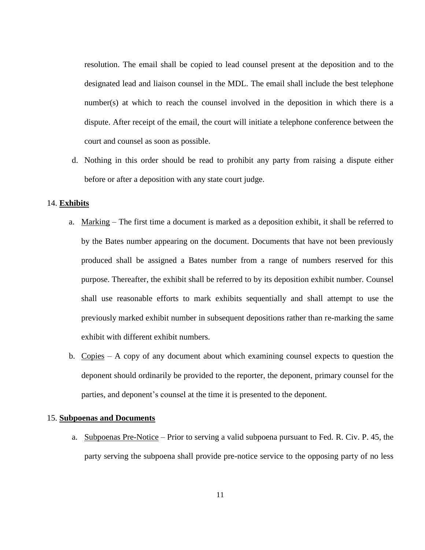resolution. The email shall be copied to lead counsel present at the deposition and to the designated lead and liaison counsel in the MDL. The email shall include the best telephone number(s) at which to reach the counsel involved in the deposition in which there is a dispute. After receipt of the email, the court will initiate a telephone conference between the court and counsel as soon as possible.

d. Nothing in this order should be read to prohibit any party from raising a dispute either before or after a deposition with any state court judge.

#### 14. **Exhibits**

- a. Marking The first time a document is marked as a deposition exhibit, it shall be referred to by the Bates number appearing on the document. Documents that have not been previously produced shall be assigned a Bates number from a range of numbers reserved for this purpose. Thereafter, the exhibit shall be referred to by its deposition exhibit number. Counsel shall use reasonable efforts to mark exhibits sequentially and shall attempt to use the previously marked exhibit number in subsequent depositions rather than re-marking the same exhibit with different exhibit numbers.
- b. Copies A copy of any document about which examining counsel expects to question the deponent should ordinarily be provided to the reporter, the deponent, primary counsel for the parties, and deponent's counsel at the time it is presented to the deponent.

#### 15. **Subpoenas and Documents**

a. Subpoenas Pre-Notice – Prior to serving a valid subpoena pursuant to Fed. R. Civ. P. 45, the party serving the subpoena shall provide pre-notice service to the opposing party of no less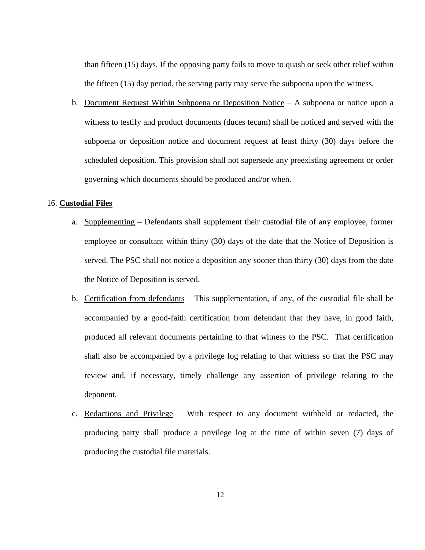than fifteen (15) days. If the opposing party fails to move to quash or seek other relief within the fifteen (15) day period, the serving party may serve the subpoena upon the witness.

b. Document Request Within Subpoena or Deposition Notice – A subpoena or notice upon a witness to testify and product documents (duces tecum) shall be noticed and served with the subpoena or deposition notice and document request at least thirty (30) days before the scheduled deposition. This provision shall not supersede any preexisting agreement or order governing which documents should be produced and/or when.

## 16. **Custodial Files**

- a. Supplementing Defendants shall supplement their custodial file of any employee, former employee or consultant within thirty (30) days of the date that the Notice of Deposition is served. The PSC shall not notice a deposition any sooner than thirty (30) days from the date the Notice of Deposition is served.
- b. Certification from defendants This supplementation, if any, of the custodial file shall be accompanied by a good-faith certification from defendant that they have, in good faith, produced all relevant documents pertaining to that witness to the PSC. That certification shall also be accompanied by a privilege log relating to that witness so that the PSC may review and, if necessary, timely challenge any assertion of privilege relating to the deponent.
- c. Redactions and Privilege With respect to any document withheld or redacted, the producing party shall produce a privilege log at the time of within seven (7) days of producing the custodial file materials.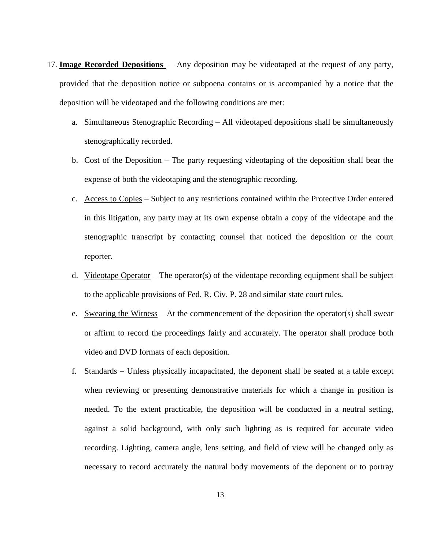- 17. **Image Recorded Depositions** Any deposition may be videotaped at the request of any party, provided that the deposition notice or subpoena contains or is accompanied by a notice that the deposition will be videotaped and the following conditions are met:
	- a. Simultaneous Stenographic Recording All videotaped depositions shall be simultaneously stenographically recorded.
	- b. Cost of the Deposition The party requesting videotaping of the deposition shall bear the expense of both the videotaping and the stenographic recording.
	- c. Access to Copies Subject to any restrictions contained within the Protective Order entered in this litigation, any party may at its own expense obtain a copy of the videotape and the stenographic transcript by contacting counsel that noticed the deposition or the court reporter.
	- d. Videotape Operator The operator(s) of the videotape recording equipment shall be subject to the applicable provisions of Fed. R. Civ. P. 28 and similar state court rules.
	- e. Swearing the Witness At the commencement of the deposition the operator(s) shall swear or affirm to record the proceedings fairly and accurately. The operator shall produce both video and DVD formats of each deposition.
	- f. Standards Unless physically incapacitated, the deponent shall be seated at a table except when reviewing or presenting demonstrative materials for which a change in position is needed. To the extent practicable, the deposition will be conducted in a neutral setting, against a solid background, with only such lighting as is required for accurate video recording. Lighting, camera angle, lens setting, and field of view will be changed only as necessary to record accurately the natural body movements of the deponent or to portray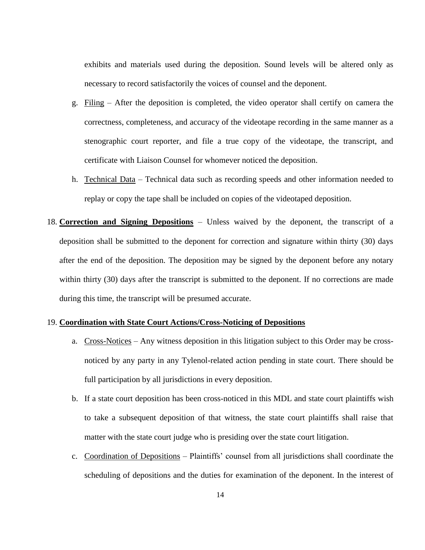exhibits and materials used during the deposition. Sound levels will be altered only as necessary to record satisfactorily the voices of counsel and the deponent.

- g. Filing After the deposition is completed, the video operator shall certify on camera the correctness, completeness, and accuracy of the videotape recording in the same manner as a stenographic court reporter, and file a true copy of the videotape, the transcript, and certificate with Liaison Counsel for whomever noticed the deposition.
- h. Technical Data Technical data such as recording speeds and other information needed to replay or copy the tape shall be included on copies of the videotaped deposition.
- 18. **Correction and Signing Depositions** Unless waived by the deponent, the transcript of a deposition shall be submitted to the deponent for correction and signature within thirty (30) days after the end of the deposition. The deposition may be signed by the deponent before any notary within thirty (30) days after the transcript is submitted to the deponent. If no corrections are made during this time, the transcript will be presumed accurate.

# 19. **Coordination with State Court Actions/Cross-Noticing of Depositions**

- a. Cross-Notices Any witness deposition in this litigation subject to this Order may be crossnoticed by any party in any Tylenol-related action pending in state court. There should be full participation by all jurisdictions in every deposition.
- b. If a state court deposition has been cross-noticed in this MDL and state court plaintiffs wish to take a subsequent deposition of that witness, the state court plaintiffs shall raise that matter with the state court judge who is presiding over the state court litigation.
- c. Coordination of Depositions Plaintiffs' counsel from all jurisdictions shall coordinate the scheduling of depositions and the duties for examination of the deponent. In the interest of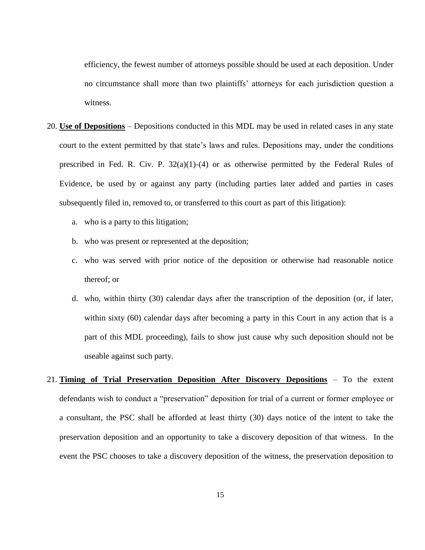efficiency, the fewest number of attorneys possible should be used at each deposition. Under no circumstance shall more than two plaintiffs' attorneys for each jurisdiction question a witness.

- 20. **Use of Depositions** Depositions conducted in this MDL may be used in related cases in any state court to the extent permitted by that state's laws and rules. Depositions may, under the conditions prescribed in Fed. R. Civ. P.  $32(a)(1)-(4)$  or as otherwise permitted by the Federal Rules of Evidence, be used by or against any party (including parties later added and parties in cases subsequently filed in, removed to, or transferred to this court as part of this litigation):
	- a. who is a party to this litigation;
	- b. who was present or represented at the deposition;
	- c. who was served with prior notice of the deposition or otherwise had reasonable notice thereof; or
	- d. who, within thirty (30) calendar days after the transcription of the deposition (or, if later, within sixty (60) calendar days after becoming a party in this Court in any action that is a part of this MDL proceeding), fails to show just cause why such deposition should not be useable against such party.
- 21. **Timing of Trial Preservation Deposition After Discovery Depositions** To the extent defendants wish to conduct a "preservation" deposition for trial of a current or former employee or a consultant, the PSC shall be afforded at least thirty (30) days notice of the intent to take the preservation deposition and an opportunity to take a discovery deposition of that witness. In the event the PSC chooses to take a discovery deposition of the witness, the preservation deposition to